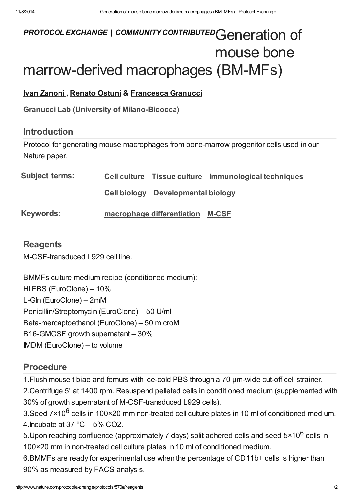# PROTOCOL EXCHANGE | COMMUNITY CONTRIBUTED Generation of mouse bone marrow-derived macrophages (BM-MFs)

## Ivan [Zanoni](javascript:;), [Renato](javascript:;) Ostuni & [Francesca](javascript:;) Granucci

Granucci Lab (University of [Milano-Bicocca\)](http://www.nature.com/protocolexchange/labgroups/360)

#### Introduction

Protocol for generating mouse macrophages from bone-marrow progenitor cells used in our Nature paper.

| <b>Subject terms:</b> |                                           | Cell culture Tissue culture Immunological techniques |
|-----------------------|-------------------------------------------|------------------------------------------------------|
|                       | <b>Cell biology</b> Developmental biology |                                                      |
| <b>Keywords:</b>      | macrophage differentiation M-CSF          |                                                      |

## **[Reagents](javascript:;)**

M-CSF-transduced L929 cell line.

BMMFs culture medium recipe (conditioned medium): HI FBS (EuroClone) – 10% L-Gln (EuroClone) – 2mM Penicillin/Streptomycin (EuroClone) – 50 U/ml Beta-mercaptoethanol (EuroClone) – 50 microM B16-GMCSF growth supernatant – 30% IMDM (EuroClone) – to volume

# [Procedure](javascript:;)

1.Flush mouse tibiae and femurs with ice-cold PBS through a 70 μm-wide cut-off cell strainer.

2.Centrifuge 5' at 1400 rpm. Resuspend pelleted cells in conditioned medium (supplemented with 30% of growth supernatant of M-CSF-transduced L929 cells).

3.Seed 7×10<sup>6</sup> cells in 100×20 mm non-treated cell culture plates in 10 ml of conditioned medium. 4. Incubate at  $37 \text{ °C} - 5\% \text{ C}$ 

5. Upon reaching confluence (approximately 7 days) split adhered cells and seed 5×10<sup>6</sup> cells in 100×20 mm in non-treated cell culture plates in 10 ml of conditioned medium.

6.BMMFs are ready for experimental use when the percentage of CD11b+ cells is higher than 90% as measured by FACS analysis.